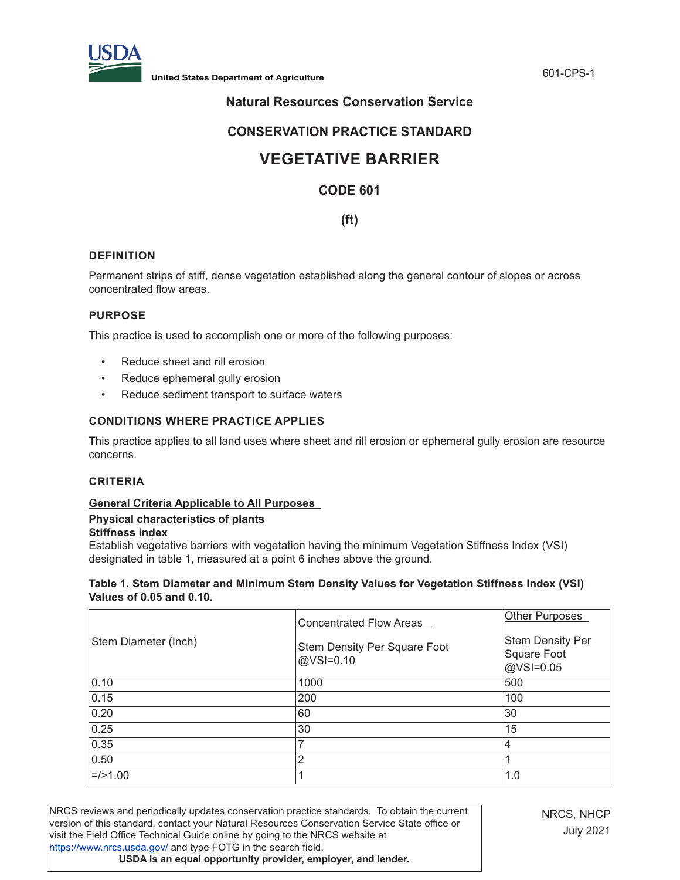

# **Natural Resources Conservation Service**

# **CONSERVATION PRACTICE STANDARD**

# **VEGETATIVE BARRIER**

# **CODE 601**

# **(ft)**

# **DEFINITION**

Permanent strips of stiff, dense vegetation established along the general contour of slopes or across concentrated flow areas.

# **PURPOSE**

This practice is used to accomplish one or more of the following purposes:

- Reduce sheet and rill erosion
- Reduce ephemeral gully erosion
- Reduce sediment transport to surface waters

# **CONDITIONS WHERE PRACTICE APPLIES**

This practice applies to all land uses where sheet and rill erosion or ephemeral gully erosion are resource concerns.

#### **CRITERIA**

# **General Criteria Applicable to All Purposes**

# **Physical characteristics of plants**

# **Stiffness index**

Establish vegetative barriers with vegetation having the minimum Vegetation Stiffness Index (VSI) designated in table 1, measured at a point 6 inches above the ground.

#### **Table 1. Stem Diameter and Minimum Stem Density Values for Vegetation Stiffness Index (VSI) Values of 0.05 and 0.10.**

|                      | <b>Concentrated Flow Areas</b>            | <b>Other Purposes</b>                               |
|----------------------|-------------------------------------------|-----------------------------------------------------|
| Stem Diameter (Inch) | Stem Density Per Square Foot<br>@VSI=0.10 | <b>Stem Density Per</b><br>Square Foot<br>@VSI=0.05 |
| 0.10                 | 1000                                      | 500                                                 |
| 0.15                 | 200                                       | 100                                                 |
| 0.20                 | 60                                        | 30                                                  |
| 0.25                 | 30                                        | 15                                                  |
| 0.35                 | ⇁                                         | 4                                                   |
| 0.50                 | 2                                         |                                                     |
| $=$ />1.00           |                                           | 1.0                                                 |

NRCS reviews and periodically updates conservation practice standards. To obtain the current version of this standard, contact your Natural Resources Conservation Service State office or visit the Field Office Technical Guide online by going to the NRCS website at <https://www.nrcs.usda.gov/>and type FOTG in the search field. **USDA is an equal opportunity provider, employer, and lender.**

NRCS, NHCP July 2021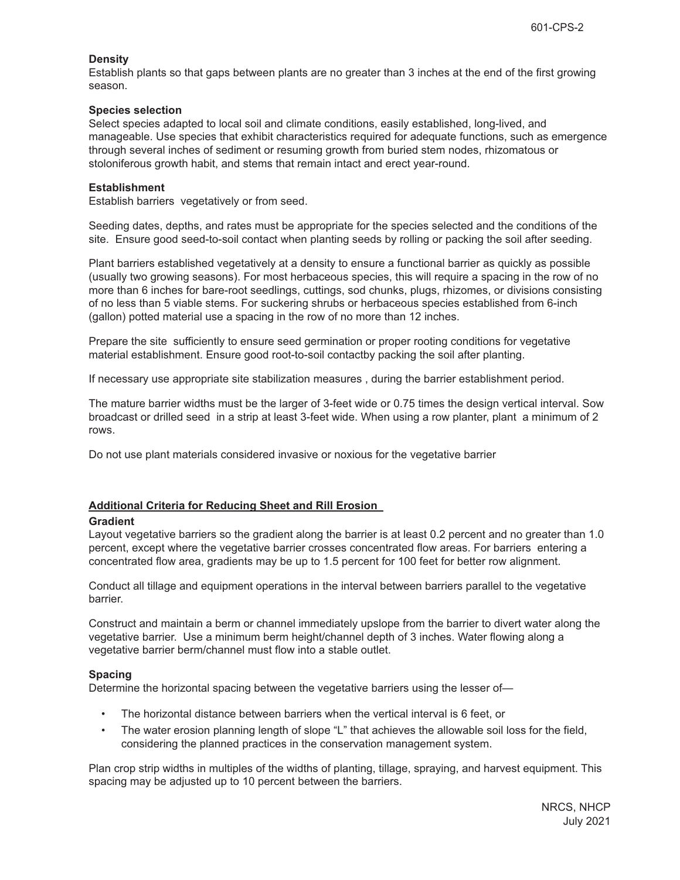# **Density**

Establish plants so that gaps between plants are no greater than 3 inches at the end of the first growing season.

# **Species selection**

Select species adapted to local soil and climate conditions, easily established, long-lived, and manageable. Use species that exhibit characteristics required for adequate functions, such as emergence through several inches of sediment or resuming growth from buried stem nodes, rhizomatous or stoloniferous growth habit, and stems that remain intact and erect year-round.

# **Establishment**

Establish barriers vegetatively or from seed.

Seeding dates, depths, and rates must be appropriate for the species selected and the conditions of the site. Ensure good seed-to-soil contact when planting seeds by rolling or packing the soil after seeding.

Plant barriers established vegetatively at a density to ensure a functional barrier as quickly as possible (usually two growing seasons). For most herbaceous species, this will require a spacing in the row of no more than 6 inches for bare-root seedlings, cuttings, sod chunks, plugs, rhizomes, or divisions consisting of no less than 5 viable stems. For suckering shrubs or herbaceous species established from 6-inch (gallon) potted material use a spacing in the row of no more than 12 inches.

Prepare the site sufficiently to ensure seed germination or proper rooting conditions for vegetative material establishment. Ensure good root-to-soil contactby packing the soil after planting.

If necessary use appropriate site stabilization measures , during the barrier establishment period.

The mature barrier widths must be the larger of 3-feet wide or 0.75 times the design vertical interval. Sow broadcast or drilled seed in a strip at least 3-feet wide. When using a row planter, plant a minimum of 2 rows.

Do not use plant materials considered invasive or noxious for the vegetative barrier

# **Additional Criteria for Reducing Sheet and Rill Erosion**

#### **Gradient**

Layout vegetative barriers so the gradient along the barrier is at least 0.2 percent and no greater than 1.0 percent, except where the vegetative barrier crosses concentrated flow areas. For barriers entering a concentrated flow area, gradients may be up to 1.5 percent for 100 feet for better row alignment.

Conduct all tillage and equipment operations in the interval between barriers parallel to the vegetative barrier.

Construct and maintain a berm or channel immediately upslope from the barrier to divert water along the vegetative barrier. Use a minimum berm height/channel depth of 3 inches. Water flowing along a vegetative barrier berm/channel must flow into a stable outlet.

# **Spacing**

Determine the horizontal spacing between the vegetative barriers using the lesser of—

- The horizontal distance between barriers when the vertical interval is 6 feet, or
- The water erosion planning length of slope "L" that achieves the allowable soil loss for the field, considering the planned practices in the conservation management system.

Plan crop strip widths in multiples of the widths of planting, tillage, spraying, and harvest equipment. This spacing may be adjusted up to 10 percent between the barriers.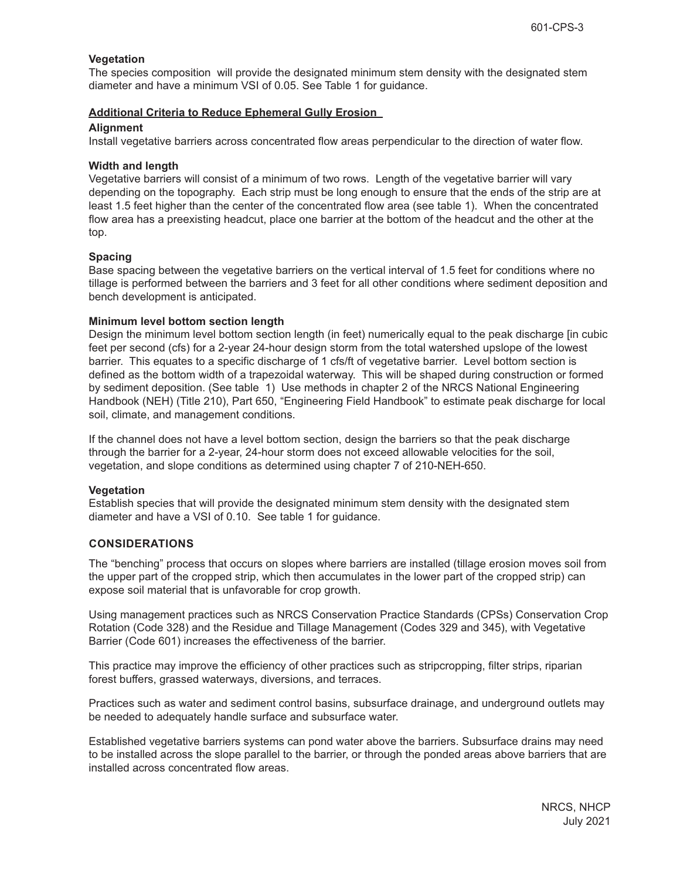# **Vegetation**

The species composition will provide the designated minimum stem density with the designated stem diameter and have a minimum VSI of 0.05. See Table 1 for guidance.

# **Additional Criteria to Reduce Ephemeral Gully Erosion**

# **Alignment**

Install vegetative barriers across concentrated flow areas perpendicular to the direction of water flow.

# **Width and length**

Vegetative barriers will consist of a minimum of two rows. Length of the vegetative barrier will vary depending on the topography. Each strip must be long enough to ensure that the ends of the strip are at least 1.5 feet higher than the center of the concentrated flow area (see table 1). When the concentrated flow area has a preexisting headcut, place one barrier at the bottom of the headcut and the other at the top.

# **Spacing**

Base spacing between the vegetative barriers on the vertical interval of 1.5 feet for conditions where no tillage is performed between the barriers and 3 feet for all other conditions where sediment deposition and bench development is anticipated.

# **Minimum level bottom section length**

Design the minimum level bottom section length (in feet) numerically equal to the peak discharge [in cubic feet per second (cfs) for a 2-year 24-hour design storm from the total watershed upslope of the lowest barrier. This equates to a specific discharge of 1 cfs/ft of vegetative barrier. Level bottom section is defined as the bottom width of a trapezoidal waterway. This will be shaped during construction or formed by sediment deposition. (See table 1) Use methods in chapter 2 of the NRCS National Engineering Handbook (NEH) (Title 210), Part 650, "Engineering Field Handbook" to estimate peak discharge for local soil, climate, and management conditions.

If the channel does not have a level bottom section, design the barriers so that the peak discharge through the barrier for a 2-year, 24-hour storm does not exceed allowable velocities for the soil, vegetation, and slope conditions as determined using chapter 7 of 210-NEH-650.

#### **Vegetation**

Establish species that will provide the designated minimum stem density with the designated stem diameter and have a VSI of 0.10. See table 1 for guidance.

# **CONSIDERATIONS**

The "benching" process that occurs on slopes where barriers are installed (tillage erosion moves soil from the upper part of the cropped strip, which then accumulates in the lower part of the cropped strip) can expose soil material that is unfavorable for crop growth.

Using management practices such as NRCS Conservation Practice Standards (CPSs) Conservation Crop Rotation (Code 328) and the Residue and Tillage Management (Codes 329 and 345), with Vegetative Barrier (Code 601) increases the effectiveness of the barrier.

This practice may improve the efficiency of other practices such as stripcropping, filter strips, riparian forest buffers, grassed waterways, diversions, and terraces.

Practices such as water and sediment control basins, subsurface drainage, and underground outlets may be needed to adequately handle surface and subsurface water.

Established vegetative barriers systems can pond water above the barriers. Subsurface drains may need to be installed across the slope parallel to the barrier, or through the ponded areas above barriers that are installed across concentrated flow areas.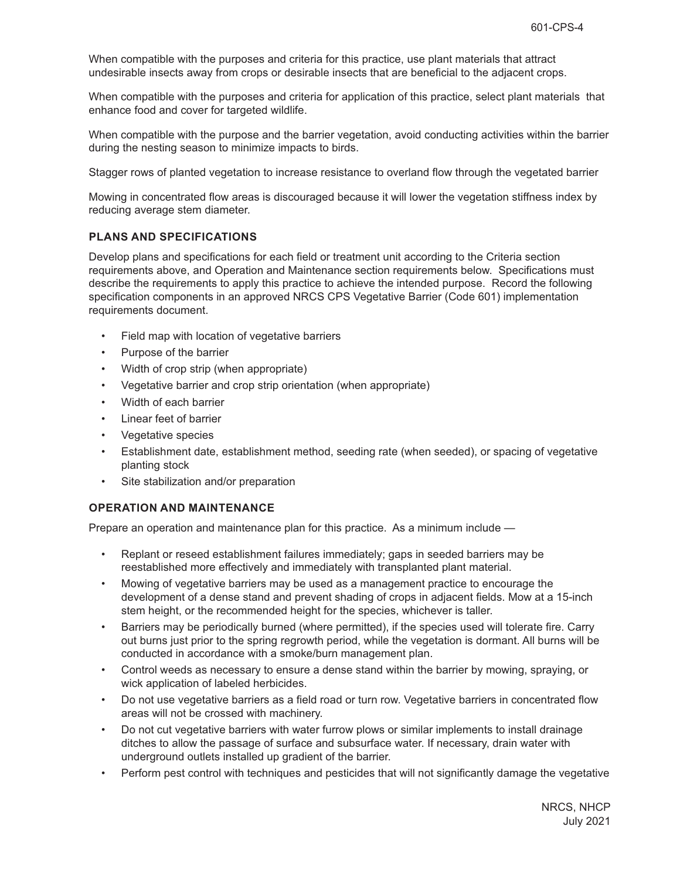When compatible with the purposes and criteria for this practice, use plant materials that attract undesirable insects away from crops or desirable insects that are beneficial to the adjacent crops.

When compatible with the purposes and criteria for application of this practice, select plant materials that enhance food and cover for targeted wildlife.

When compatible with the purpose and the barrier vegetation, avoid conducting activities within the barrier during the nesting season to minimize impacts to birds.

Stagger rows of planted vegetation to increase resistance to overland flow through the vegetated barrier

Mowing in concentrated flow areas is discouraged because it will lower the vegetation stiffness index by reducing average stem diameter.

# **PLANS AND SPECIFICATIONS**

Develop plans and specifications for each field or treatment unit according to the Criteria section requirements above, and Operation and Maintenance section requirements below. Specifications must describe the requirements to apply this practice to achieve the intended purpose. Record the following specification components in an approved NRCS CPS Vegetative Barrier (Code 601) implementation requirements document.

- Field map with location of vegetative barriers
- Purpose of the barrier
- Width of crop strip (when appropriate)
- Vegetative barrier and crop strip orientation (when appropriate)
- Width of each barrier
- Linear feet of barrier
- Vegetative species
- Establishment date, establishment method, seeding rate (when seeded), or spacing of vegetative planting stock
- Site stabilization and/or preparation

#### **OPERATION AND MAINTENANCE**

Prepare an operation and maintenance plan for this practice. As a minimum include —

- Replant or reseed establishment failures immediately; gaps in seeded barriers may be reestablished more effectively and immediately with transplanted plant material.
- Mowing of vegetative barriers may be used as a management practice to encourage the development of a dense stand and prevent shading of crops in adjacent fields. Mow at a 15-inch stem height, or the recommended height for the species, whichever is taller.
- Barriers may be periodically burned (where permitted), if the species used will tolerate fire. Carry out burns just prior to the spring regrowth period, while the vegetation is dormant. All burns will be conducted in accordance with a smoke/burn management plan.
- Control weeds as necessary to ensure a dense stand within the barrier by mowing, spraying, or wick application of labeled herbicides.
- Do not use vegetative barriers as a field road or turn row. Vegetative barriers in concentrated flow areas will not be crossed with machinery.
- Do not cut vegetative barriers with water furrow plows or similar implements to install drainage ditches to allow the passage of surface and subsurface water. If necessary, drain water with underground outlets installed up gradient of the barrier.
- Perform pest control with techniques and pesticides that will not significantly damage the vegetative